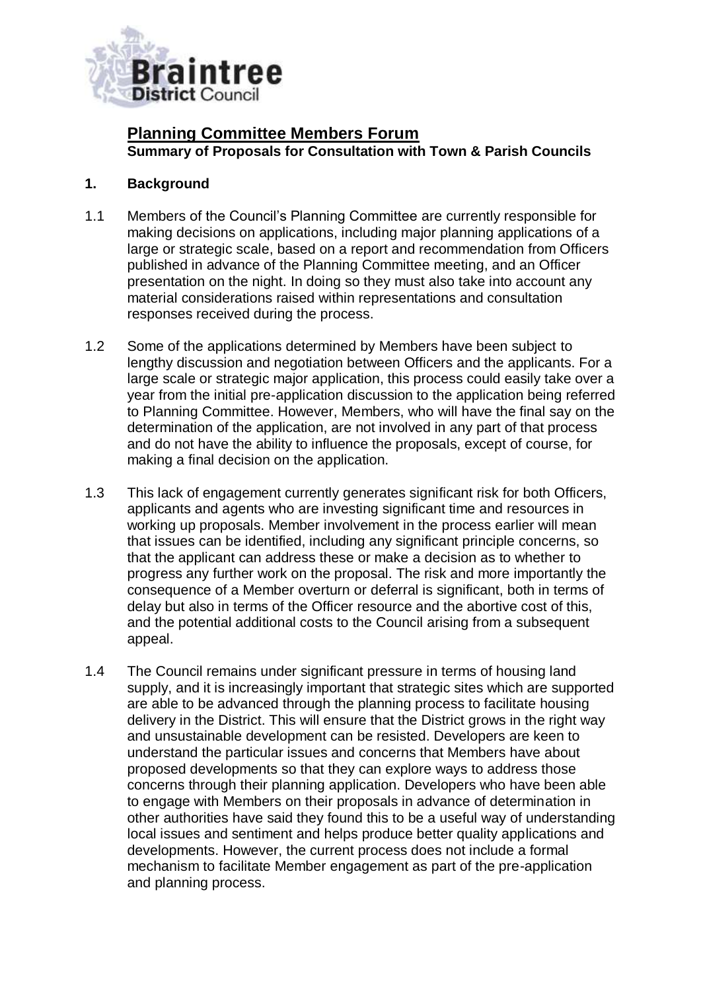

# **Planning Committee Members Forum Summary of Proposals for Consultation with Town & Parish Councils**

### **1. Background**

- 1.1 Members of the Council's Planning Committee are currently responsible for making decisions on applications, including major planning applications of a large or strategic scale, based on a report and recommendation from Officers published in advance of the Planning Committee meeting, and an Officer presentation on the night. In doing so they must also take into account any material considerations raised within representations and consultation responses received during the process.
- 1.2 Some of the applications determined by Members have been subject to lengthy discussion and negotiation between Officers and the applicants. For a large scale or strategic major application, this process could easily take over a year from the initial pre-application discussion to the application being referred to Planning Committee. However, Members, who will have the final say on the determination of the application, are not involved in any part of that process and do not have the ability to influence the proposals, except of course, for making a final decision on the application.
- 1.3 This lack of engagement currently generates significant risk for both Officers, applicants and agents who are investing significant time and resources in working up proposals. Member involvement in the process earlier will mean that issues can be identified, including any significant principle concerns, so that the applicant can address these or make a decision as to whether to progress any further work on the proposal. The risk and more importantly the consequence of a Member overturn or deferral is significant, both in terms of delay but also in terms of the Officer resource and the abortive cost of this, and the potential additional costs to the Council arising from a subsequent appeal.
- 1.4 The Council remains under significant pressure in terms of housing land supply, and it is increasingly important that strategic sites which are supported are able to be advanced through the planning process to facilitate housing delivery in the District. This will ensure that the District grows in the right way and unsustainable development can be resisted. Developers are keen to understand the particular issues and concerns that Members have about proposed developments so that they can explore ways to address those concerns through their planning application. Developers who have been able to engage with Members on their proposals in advance of determination in other authorities have said they found this to be a useful way of understanding local issues and sentiment and helps produce better quality applications and developments. However, the current process does not include a formal mechanism to facilitate Member engagement as part of the pre-application and planning process.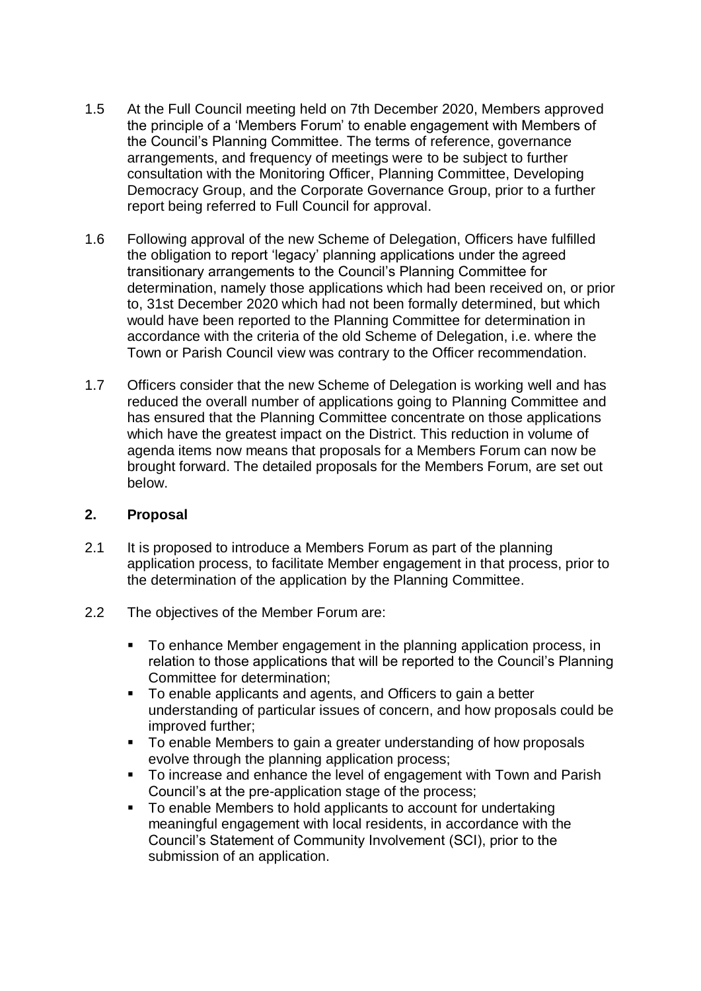- 1.5 At the Full Council meeting held on 7th December 2020, Members approved the principle of a 'Members Forum' to enable engagement with Members of the Council's Planning Committee. The terms of reference, governance arrangements, and frequency of meetings were to be subject to further consultation with the Monitoring Officer, Planning Committee, Developing Democracy Group, and the Corporate Governance Group, prior to a further report being referred to Full Council for approval.
- 1.6 Following approval of the new Scheme of Delegation, Officers have fulfilled the obligation to report 'legacy' planning applications under the agreed transitionary arrangements to the Council's Planning Committee for determination, namely those applications which had been received on, or prior to, 31st December 2020 which had not been formally determined, but which would have been reported to the Planning Committee for determination in accordance with the criteria of the old Scheme of Delegation, i.e. where the Town or Parish Council view was contrary to the Officer recommendation.
- 1.7 Officers consider that the new Scheme of Delegation is working well and has reduced the overall number of applications going to Planning Committee and has ensured that the Planning Committee concentrate on those applications which have the greatest impact on the District. This reduction in volume of agenda items now means that proposals for a Members Forum can now be brought forward. The detailed proposals for the Members Forum, are set out below.

#### **2. Proposal**

- 2.1 It is proposed to introduce a Members Forum as part of the planning application process, to facilitate Member engagement in that process, prior to the determination of the application by the Planning Committee.
- 2.2 The objectives of the Member Forum are:
	- To enhance Member engagement in the planning application process, in relation to those applications that will be reported to the Council's Planning Committee for determination;
	- To enable applicants and agents, and Officers to gain a better understanding of particular issues of concern, and how proposals could be improved further;
	- To enable Members to gain a greater understanding of how proposals evolve through the planning application process;
	- To increase and enhance the level of engagement with Town and Parish Council's at the pre-application stage of the process;
	- To enable Members to hold applicants to account for undertaking meaningful engagement with local residents, in accordance with the Council's Statement of Community Involvement (SCI), prior to the submission of an application.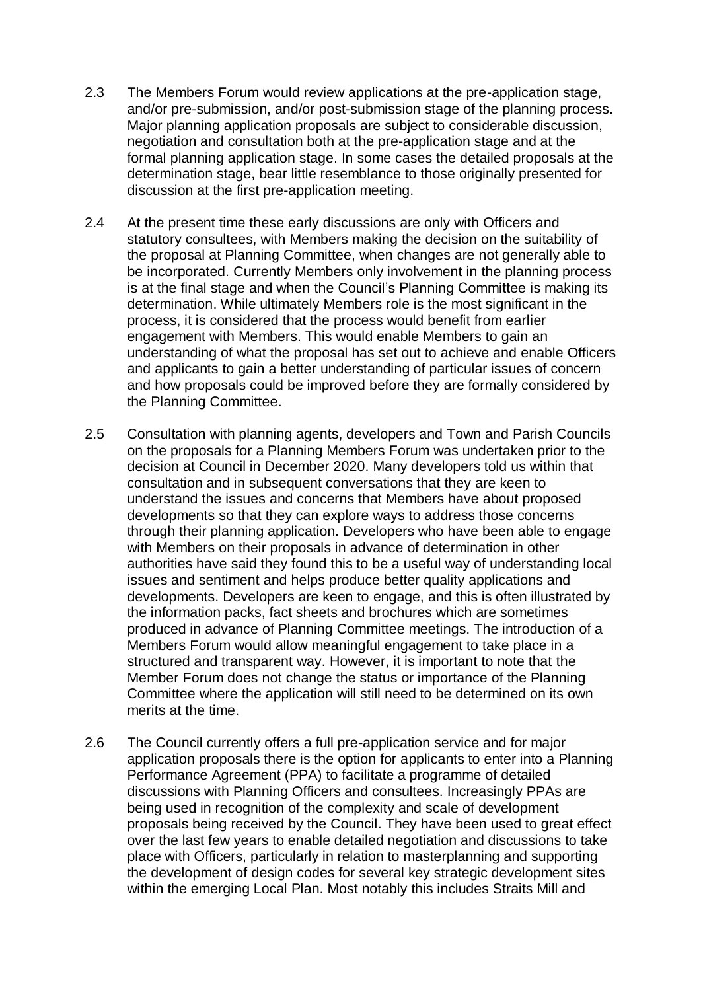- 2.3 The Members Forum would review applications at the pre-application stage, and/or pre-submission, and/or post-submission stage of the planning process. Major planning application proposals are subject to considerable discussion, negotiation and consultation both at the pre-application stage and at the formal planning application stage. In some cases the detailed proposals at the determination stage, bear little resemblance to those originally presented for discussion at the first pre-application meeting.
- 2.4 At the present time these early discussions are only with Officers and statutory consultees, with Members making the decision on the suitability of the proposal at Planning Committee, when changes are not generally able to be incorporated. Currently Members only involvement in the planning process is at the final stage and when the Council's Planning Committee is making its determination. While ultimately Members role is the most significant in the process, it is considered that the process would benefit from earlier engagement with Members. This would enable Members to gain an understanding of what the proposal has set out to achieve and enable Officers and applicants to gain a better understanding of particular issues of concern and how proposals could be improved before they are formally considered by the Planning Committee.
- 2.5 Consultation with planning agents, developers and Town and Parish Councils on the proposals for a Planning Members Forum was undertaken prior to the decision at Council in December 2020. Many developers told us within that consultation and in subsequent conversations that they are keen to understand the issues and concerns that Members have about proposed developments so that they can explore ways to address those concerns through their planning application. Developers who have been able to engage with Members on their proposals in advance of determination in other authorities have said they found this to be a useful way of understanding local issues and sentiment and helps produce better quality applications and developments. Developers are keen to engage, and this is often illustrated by the information packs, fact sheets and brochures which are sometimes produced in advance of Planning Committee meetings. The introduction of a Members Forum would allow meaningful engagement to take place in a structured and transparent way. However, it is important to note that the Member Forum does not change the status or importance of the Planning Committee where the application will still need to be determined on its own merits at the time.
- 2.6 The Council currently offers a full pre-application service and for major application proposals there is the option for applicants to enter into a Planning Performance Agreement (PPA) to facilitate a programme of detailed discussions with Planning Officers and consultees. Increasingly PPAs are being used in recognition of the complexity and scale of development proposals being received by the Council. They have been used to great effect over the last few years to enable detailed negotiation and discussions to take place with Officers, particularly in relation to masterplanning and supporting the development of design codes for several key strategic development sites within the emerging Local Plan. Most notably this includes Straits Mill and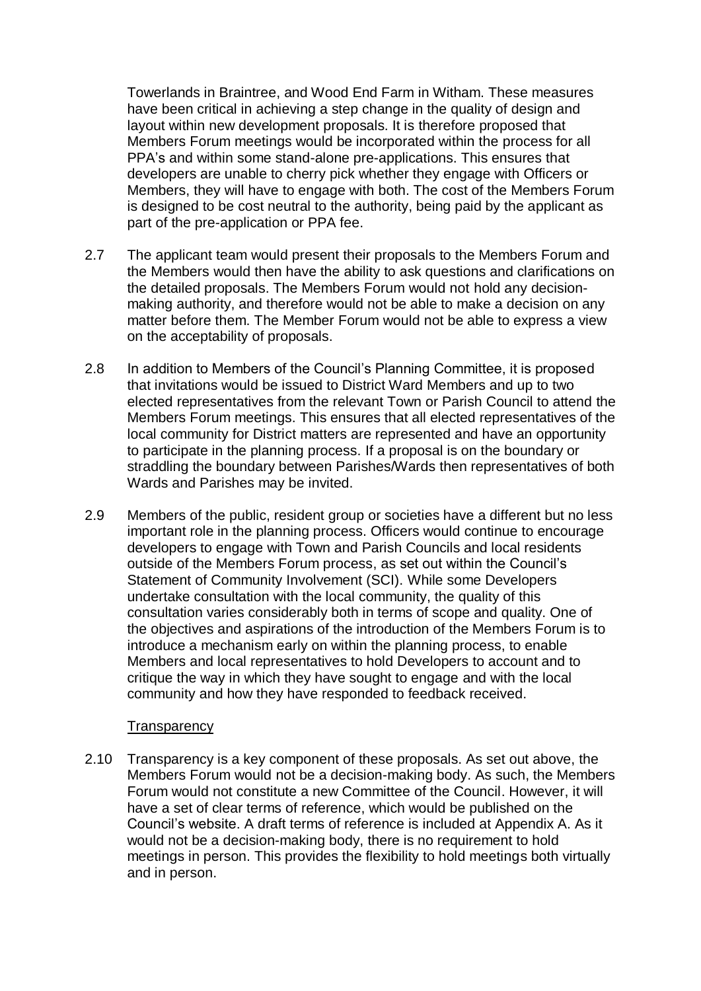Towerlands in Braintree, and Wood End Farm in Witham. These measures have been critical in achieving a step change in the quality of design and layout within new development proposals. It is therefore proposed that Members Forum meetings would be incorporated within the process for all PPA's and within some stand-alone pre-applications. This ensures that developers are unable to cherry pick whether they engage with Officers or Members, they will have to engage with both. The cost of the Members Forum is designed to be cost neutral to the authority, being paid by the applicant as part of the pre-application or PPA fee.

- 2.7 The applicant team would present their proposals to the Members Forum and the Members would then have the ability to ask questions and clarifications on the detailed proposals. The Members Forum would not hold any decisionmaking authority, and therefore would not be able to make a decision on any matter before them. The Member Forum would not be able to express a view on the acceptability of proposals.
- 2.8 In addition to Members of the Council's Planning Committee, it is proposed that invitations would be issued to District Ward Members and up to two elected representatives from the relevant Town or Parish Council to attend the Members Forum meetings. This ensures that all elected representatives of the local community for District matters are represented and have an opportunity to participate in the planning process. If a proposal is on the boundary or straddling the boundary between Parishes/Wards then representatives of both Wards and Parishes may be invited.
- 2.9 Members of the public, resident group or societies have a different but no less important role in the planning process. Officers would continue to encourage developers to engage with Town and Parish Councils and local residents outside of the Members Forum process, as set out within the Council's Statement of Community Involvement (SCI). While some Developers undertake consultation with the local community, the quality of this consultation varies considerably both in terms of scope and quality. One of the objectives and aspirations of the introduction of the Members Forum is to introduce a mechanism early on within the planning process, to enable Members and local representatives to hold Developers to account and to critique the way in which they have sought to engage and with the local community and how they have responded to feedback received.

#### **Transparency**

2.10 Transparency is a key component of these proposals. As set out above, the Members Forum would not be a decision-making body. As such, the Members Forum would not constitute a new Committee of the Council. However, it will have a set of clear terms of reference, which would be published on the Council's website. A draft terms of reference is included at Appendix A. As it would not be a decision-making body, there is no requirement to hold meetings in person. This provides the flexibility to hold meetings both virtually and in person.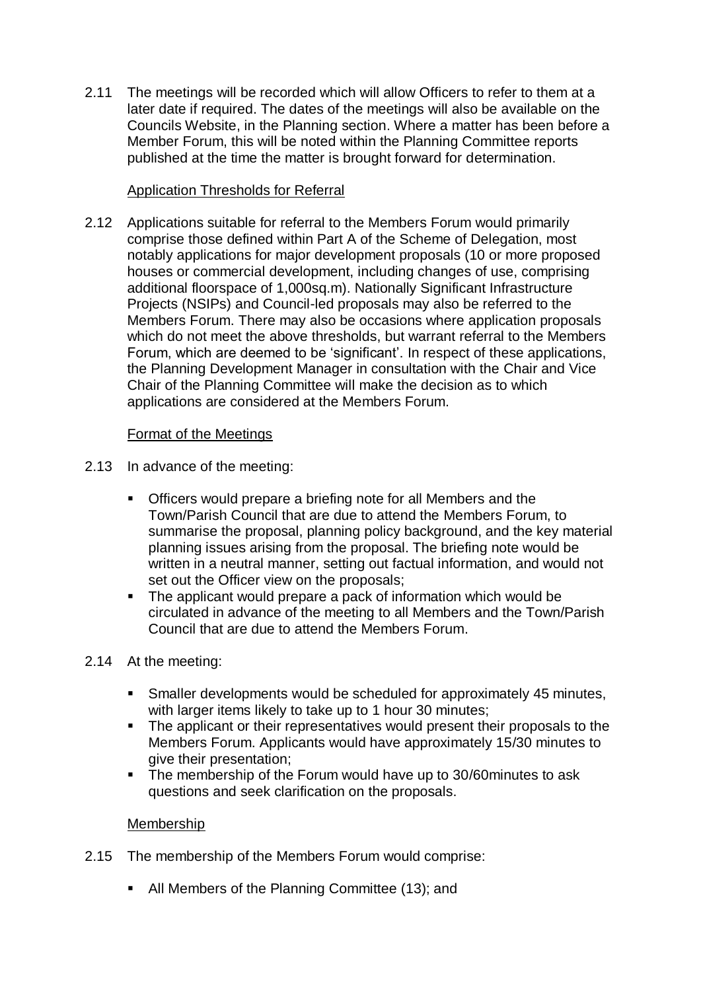2.11 The meetings will be recorded which will allow Officers to refer to them at a later date if required. The dates of the meetings will also be available on the Councils Website, in the Planning section. Where a matter has been before a Member Forum, this will be noted within the Planning Committee reports published at the time the matter is brought forward for determination.

## Application Thresholds for Referral

2.12 Applications suitable for referral to the Members Forum would primarily comprise those defined within Part A of the Scheme of Delegation, most notably applications for major development proposals (10 or more proposed houses or commercial development, including changes of use, comprising additional floorspace of 1,000sq.m). Nationally Significant Infrastructure Projects (NSIPs) and Council-led proposals may also be referred to the Members Forum. There may also be occasions where application proposals which do not meet the above thresholds, but warrant referral to the Members Forum, which are deemed to be 'significant'. In respect of these applications, the Planning Development Manager in consultation with the Chair and Vice Chair of the Planning Committee will make the decision as to which applications are considered at the Members Forum.

### Format of the Meetings

- 2.13 In advance of the meeting:
	- Officers would prepare a briefing note for all Members and the Town/Parish Council that are due to attend the Members Forum, to summarise the proposal, planning policy background, and the key material planning issues arising from the proposal. The briefing note would be written in a neutral manner, setting out factual information, and would not set out the Officer view on the proposals;
	- The applicant would prepare a pack of information which would be circulated in advance of the meeting to all Members and the Town/Parish Council that are due to attend the Members Forum.

#### 2.14 At the meeting:

- Smaller developments would be scheduled for approximately 45 minutes, with larger items likely to take up to 1 hour 30 minutes;
- The applicant or their representatives would present their proposals to the Members Forum. Applicants would have approximately 15/30 minutes to give their presentation;
- The membership of the Forum would have up to 30/60minutes to ask questions and seek clarification on the proposals.

#### Membership

- 2.15 The membership of the Members Forum would comprise:
	- All Members of the Planning Committee (13); and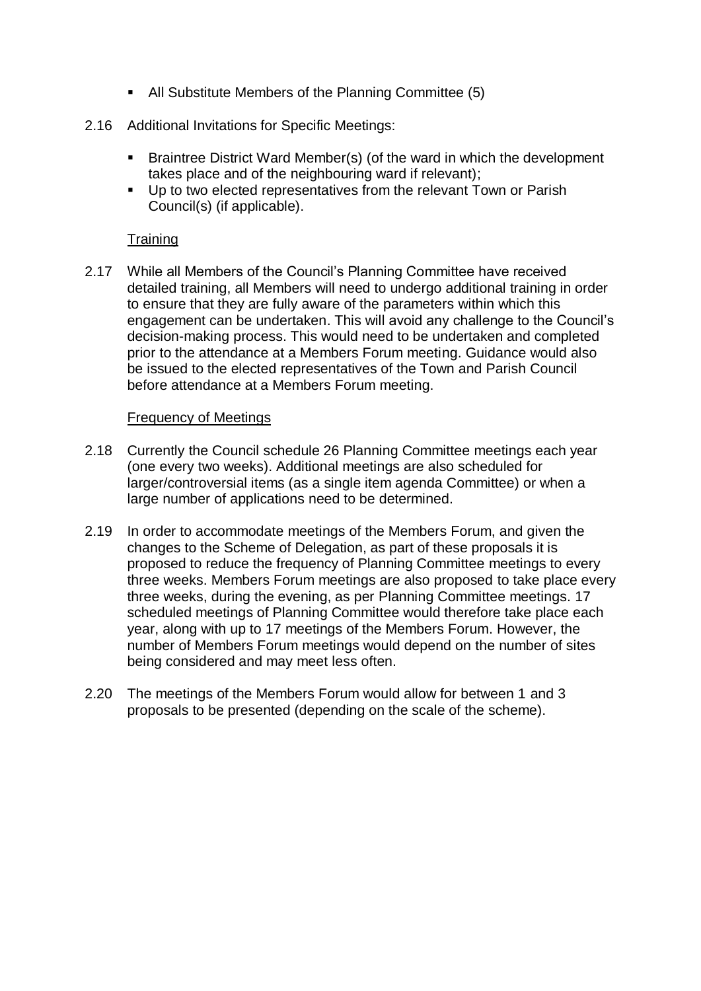- All Substitute Members of the Planning Committee (5)
- 2.16 Additional Invitations for Specific Meetings:
	- Braintree District Ward Member(s) (of the ward in which the development takes place and of the neighbouring ward if relevant);
	- **Up to two elected representatives from the relevant Town or Parish** Council(s) (if applicable).

## **Training**

2.17 While all Members of the Council's Planning Committee have received detailed training, all Members will need to undergo additional training in order to ensure that they are fully aware of the parameters within which this engagement can be undertaken. This will avoid any challenge to the Council's decision-making process. This would need to be undertaken and completed prior to the attendance at a Members Forum meeting. Guidance would also be issued to the elected representatives of the Town and Parish Council before attendance at a Members Forum meeting.

#### Frequency of Meetings

- 2.18 Currently the Council schedule 26 Planning Committee meetings each year (one every two weeks). Additional meetings are also scheduled for larger/controversial items (as a single item agenda Committee) or when a large number of applications need to be determined.
- 2.19 In order to accommodate meetings of the Members Forum, and given the changes to the Scheme of Delegation, as part of these proposals it is proposed to reduce the frequency of Planning Committee meetings to every three weeks. Members Forum meetings are also proposed to take place every three weeks, during the evening, as per Planning Committee meetings. 17 scheduled meetings of Planning Committee would therefore take place each year, along with up to 17 meetings of the Members Forum. However, the number of Members Forum meetings would depend on the number of sites being considered and may meet less often.
- 2.20 The meetings of the Members Forum would allow for between 1 and 3 proposals to be presented (depending on the scale of the scheme).